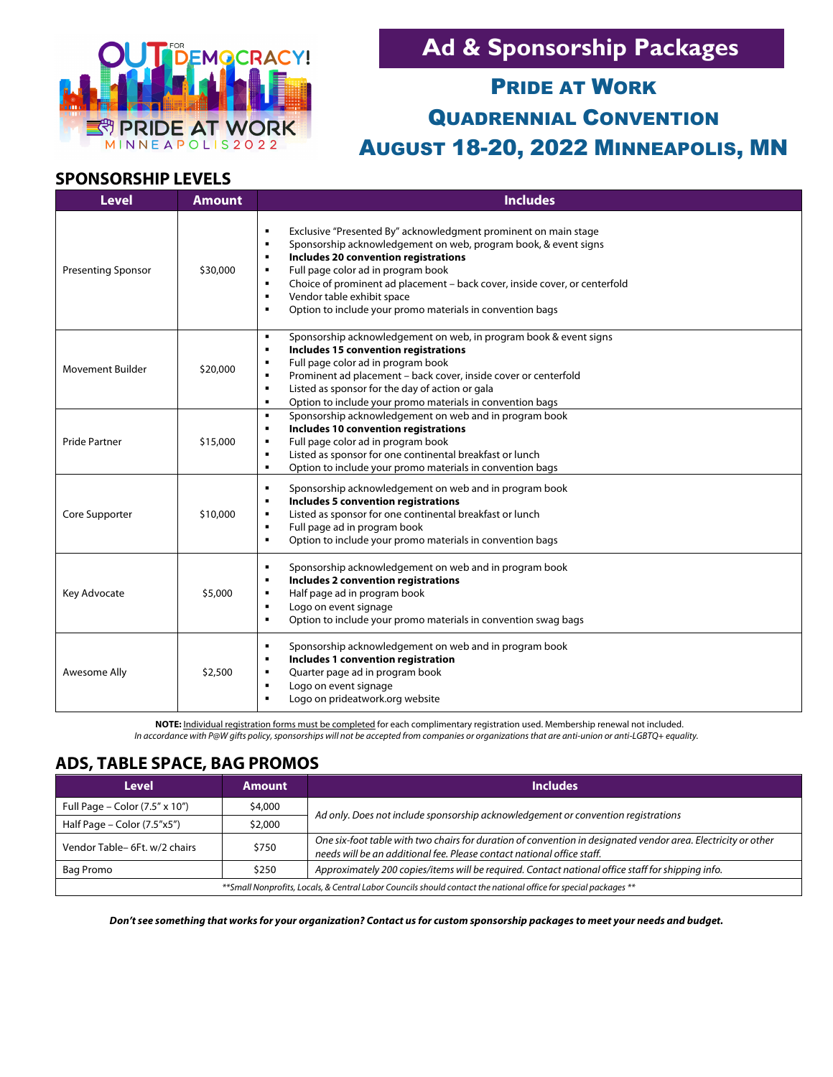

# **Ad & Sponsorship Packages**

# PRIDE AT WORK QUADRENNIAL CONVENTION AUGUST 18-20, 2022 MINNEAPOLIS, MN

### **SPONSORSHIP LEVELS**

| <b>Level</b>              | <b>Amount</b> | <b>Includes</b>                                                                                                                                                                                                                                                                                                                                                                                                                                                                                            |
|---------------------------|---------------|------------------------------------------------------------------------------------------------------------------------------------------------------------------------------------------------------------------------------------------------------------------------------------------------------------------------------------------------------------------------------------------------------------------------------------------------------------------------------------------------------------|
| <b>Presenting Sponsor</b> | \$30,000      | Exclusive "Presented By" acknowledgment prominent on main stage<br>$\blacksquare$<br>Sponsorship acknowledgement on web, program book, & event signs<br>$\blacksquare$<br>Includes 20 convention registrations<br>$\blacksquare$<br>Full page color ad in program book<br>$\blacksquare$<br>Choice of prominent ad placement - back cover, inside cover, or centerfold<br>$\blacksquare$<br>Vendor table exhibit space<br>$\blacksquare$<br>Option to include your promo materials in convention bags<br>٠ |
| <b>Movement Builder</b>   | \$20,000      | Sponsorship acknowledgement on web, in program book & event signs<br>٠<br>Includes 15 convention registrations<br>$\blacksquare$<br>Full page color ad in program book<br>٠<br>Prominent ad placement - back cover, inside cover or centerfold<br>$\blacksquare$<br>Listed as sponsor for the day of action or gala<br>$\blacksquare$<br>Option to include your promo materials in convention bags<br>$\blacksquare$                                                                                       |
| <b>Pride Partner</b>      | \$15,000      | Sponsorship acknowledgement on web and in program book<br>$\blacksquare$<br>Includes 10 convention registrations<br>$\blacksquare$<br>Full page color ad in program book<br>$\blacksquare$<br>Listed as sponsor for one continental breakfast or lunch<br>$\blacksquare$<br>Option to include your promo materials in convention bags<br>$\blacksquare$                                                                                                                                                    |
| Core Supporter            | \$10,000      | Sponsorship acknowledgement on web and in program book<br>$\blacksquare$<br>Includes 5 convention registrations<br>$\blacksquare$<br>Listed as sponsor for one continental breakfast or lunch<br>$\blacksquare$<br>Full page ad in program book<br>$\blacksquare$<br>Option to include your promo materials in convention bags<br>$\blacksquare$                                                                                                                                                           |
| Key Advocate              | \$5,000       | Sponsorship acknowledgement on web and in program book<br>$\blacksquare$<br>Includes 2 convention registrations<br>$\blacksquare$<br>Half page ad in program book<br>٠<br>Logo on event signage<br>$\blacksquare$<br>Option to include your promo materials in convention swag bags<br>$\blacksquare$                                                                                                                                                                                                      |
| Awesome Ally              | \$2,500       | Sponsorship acknowledgement on web and in program book<br>$\blacksquare$<br>Includes 1 convention registration<br>$\blacksquare$<br>Quarter page ad in program book<br>$\blacksquare$<br>Logo on event signage<br>$\blacksquare$<br>Logo on prideatwork.org website<br>п                                                                                                                                                                                                                                   |

**NOTE:** Individual registration forms must be completed for each complimentary registration used. Membership renewal not included. *In accordance with P@W gifts policy, sponsorships will not be accepted from companies or organizations that are anti-union or anti-LGBTQ+ equality.*

### **ADS, TABLE SPACE, BAG PROMOS**

| <b>Level</b>                                                                                                     | <b>Amount</b> | <b>Includes</b>                                                                                                                                                                         |  |  |
|------------------------------------------------------------------------------------------------------------------|---------------|-----------------------------------------------------------------------------------------------------------------------------------------------------------------------------------------|--|--|
| Full Page – Color $(7.5'' \times 10'')$                                                                          | \$4,000       | Ad only. Does not include sponsorship acknowledgement or convention registrations                                                                                                       |  |  |
| Half Page - Color (7.5"x5")                                                                                      | \$2,000       |                                                                                                                                                                                         |  |  |
| \$750<br>Vendor Table- 6Ft. w/2 chairs                                                                           |               | One six-foot table with two chairs for duration of convention in designated vendor area. Electricity or other<br>needs will be an additional fee. Please contact national office staff. |  |  |
| Bag Promo<br>\$250                                                                                               |               | Approximately 200 copies/items will be required. Contact national office staff for shipping info.                                                                                       |  |  |
| ** Small Nonprofits, Locals, & Central Labor Councils should contact the national office for special packages ** |               |                                                                                                                                                                                         |  |  |

*Don't see something that works for your organization? Contact us for custom sponsorship packages to meet your needs and budget.*